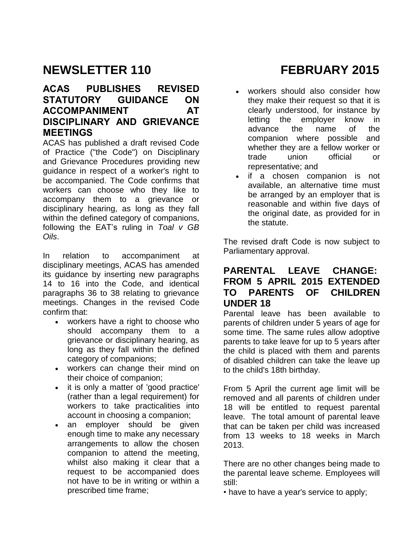# **NEWSLETTER 110 FEBRUARY 2015**

# **ACAS PUBLISHES REVISED STATUTORY GUIDANCE ON**  ACCOMPANIMENT AT **DISCIPLINARY AND GRIEVANCE MEETINGS**

ACAS has published a draft revised Code of Practice ("the Code") on Disciplinary and Grievance Procedures providing new guidance in respect of a worker's right to be accompanied. The Code confirms that workers can choose who they like to accompany them to a grievance or disciplinary hearing, as long as they fall within the defined category of companions, following the EAT's ruling in *Toal v GB Oils*.

In relation to accompaniment at disciplinary meetings, ACAS has amended its guidance by inserting new paragraphs 14 to 16 into the Code, and identical paragraphs 36 to 38 relating to grievance meetings. Changes in the revised Code confirm that:

- workers have a right to choose who should accompany them to a grievance or disciplinary hearing, as long as they fall within the defined category of companions;
- workers can change their mind on their choice of companion;
- it is only a matter of 'good practice' (rather than a legal requirement) for workers to take practicalities into account in choosing a companion;
- an employer should be given enough time to make any necessary arrangements to allow the chosen companion to attend the meeting, whilst also making it clear that a request to be accompanied does not have to be in writing or within a prescribed time frame;

- workers should also consider how they make their request so that it is clearly understood, for instance by letting the employer know in advance the name of the companion where possible and whether they are a fellow worker or trade union official or representative; and
- if a chosen companion is not available, an alternative time must be arranged by an employer that is reasonable and within five days of the original date, as provided for in the statute.

The revised draft Code is now subject to Parliamentary approval.

# **PARENTAL LEAVE CHANGE: FROM 5 APRIL 2015 EXTENDED TO PARENTS OF CHILDREN UNDER 18**

Parental leave has been available to parents of children under 5 years of age for some time. The same rules allow adoptive parents to take leave for up to 5 years after the child is placed with them and parents of disabled children can take the leave up to the child's 18th birthday.

From 5 April the current age limit will be removed and all parents of children under 18 will be entitled to request parental leave. The total amount of parental leave that can be taken per child was increased from 13 weeks to 18 weeks in March 2013.

There are no other changes being made to the parental leave scheme. Employees will still:

• have to have a year's service to apply;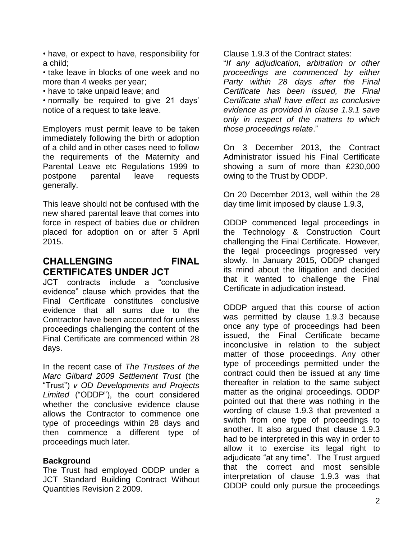- have, or expect to have, responsibility for a child;
- take leave in blocks of one week and no more than 4 weeks per year;
- have to take unpaid leave; and
- normally be required to give 21 days' notice of a request to take leave.

Employers must permit leave to be taken immediately following the birth or adoption of a child and in other cases need to follow the requirements of the Maternity and Parental Leave etc Regulations 1999 to postpone parental leave requests generally.

This leave should not be confused with the new shared parental leave that comes into force in respect of babies due or children placed for adoption on or after 5 April 2015.

# **CHALLENGING FINAL CERTIFICATES UNDER JCT**

JCT contracts include a "conclusive evidence" clause which provides that the Final Certificate constitutes conclusive evidence that all sums due to the Contractor have been accounted for unless proceedings challenging the content of the Final Certificate are commenced within 28 days.

In the recent case of *The Trustees of the Marc Gilbard 2009 Settlement Trust* (the "Trust") *v OD Developments and Projects Limited* ("ODDP"), the court considered whether the conclusive evidence clause allows the Contractor to commence one type of proceedings within 28 days and then commence a different type of proceedings much later.

#### **Background**

The Trust had employed ODDP under a JCT Standard Building Contract Without Quantities Revision 2 2009.

Clause 1.9.3 of the Contract states:

"*If any adjudication, arbitration or other proceedings are commenced by either Party within 28 days after the Final Certificate has been issued, the Final Certificate shall have effect as conclusive evidence as provided in clause 1.9.1 save only in respect of the matters to which those proceedings relate*."

On 3 December 2013, the Contract Administrator issued his Final Certificate showing a sum of more than £230,000 owing to the Trust by ODDP.

On 20 December 2013, well within the 28 day time limit imposed by clause 1.9.3,

ODDP commenced legal proceedings in the Technology & Construction Court challenging the Final Certificate. However, the legal proceedings progressed very slowly. In January 2015, ODDP changed its mind about the litigation and decided that it wanted to challenge the Final Certificate in adjudication instead.

ODDP argued that this course of action was permitted by clause 1.9.3 because once any type of proceedings had been issued, the Final Certificate became inconclusive in relation to the subject matter of those proceedings. Any other type of proceedings permitted under the contract could then be issued at any time thereafter in relation to the same subject matter as the original proceedings. ODDP pointed out that there was nothing in the wording of clause 1.9.3 that prevented a switch from one type of proceedings to another. It also argued that clause 1.9.3 had to be interpreted in this way in order to allow it to exercise its legal right to adjudicate "at any time". The Trust argued that the correct and most sensible interpretation of clause 1.9.3 was that ODDP could only pursue the proceedings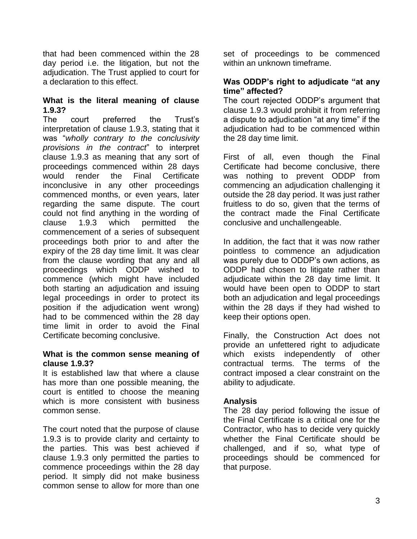that had been commenced within the 28 day period i.e. the litigation, but not the adjudication. The Trust applied to court for a declaration to this effect.

### **What is the literal meaning of clause 1.9.3?**

The court preferred the Trust's interpretation of clause 1.9.3, stating that it was "*wholly contrary to the conclusivity provisions in the contract*" to interpret clause 1.9.3 as meaning that any sort of proceedings commenced within 28 days would render the Final Certificate inconclusive in any other proceedings commenced months, or even years, later regarding the same dispute. The court could not find anything in the wording of clause 1.9.3 which permitted the commencement of a series of subsequent proceedings both prior to and after the expiry of the 28 day time limit. It was clear from the clause wording that any and all proceedings which ODDP wished to commence (which might have included both starting an adjudication and issuing legal proceedings in order to protect its position if the adjudication went wrong) had to be commenced within the 28 day time limit in order to avoid the Final Certificate becoming conclusive.

#### **What is the common sense meaning of clause 1.9.3?**

It is established law that where a clause has more than one possible meaning, the court is entitled to choose the meaning which is more consistent with business common sense.

The court noted that the purpose of clause 1.9.3 is to provide clarity and certainty to the parties. This was best achieved if clause 1.9.3 only permitted the parties to commence proceedings within the 28 day period. It simply did not make business common sense to allow for more than one

set of proceedings to be commenced within an unknown timeframe.

#### **Was ODDP's right to adjudicate "at any time" affected?**

The court rejected ODDP's argument that clause 1.9.3 would prohibit it from referring a dispute to adjudication "at any time" if the adjudication had to be commenced within the 28 day time limit.

First of all, even though the Final Certificate had become conclusive, there was nothing to prevent ODDP from commencing an adjudication challenging it outside the 28 day period. It was just rather fruitless to do so, given that the terms of the contract made the Final Certificate conclusive and unchallengeable.

In addition, the fact that it was now rather pointless to commence an adjudication was purely due to ODDP's own actions, as ODDP had chosen to litigate rather than adjudicate within the 28 day time limit. It would have been open to ODDP to start both an adjudication and legal proceedings within the 28 days if they had wished to keep their options open.

Finally, the Construction Act does not provide an unfettered right to adjudicate which exists independently of other contractual terms. The terms of the contract imposed a clear constraint on the ability to adjudicate.

#### **Analysis**

The 28 day period following the issue of the Final Certificate is a critical one for the Contractor, who has to decide very quickly whether the Final Certificate should be challenged, and if so, what type of proceedings should be commenced for that purpose.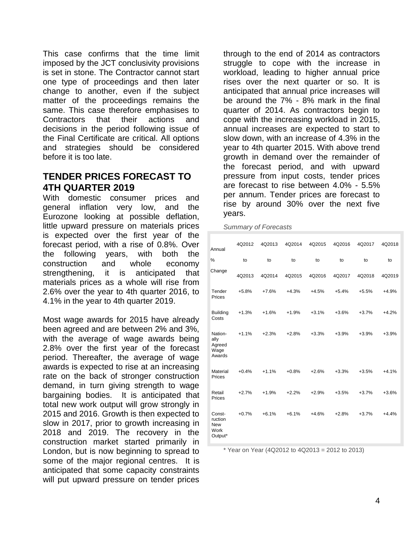This case confirms that the time limit imposed by the JCT conclusivity provisions is set in stone. The Contractor cannot start one type of proceedings and then later change to another, even if the subject matter of the proceedings remains the same. This case therefore emphasises to Contractors that their actions and decisions in the period following issue of the Final Certificate are critical. All options and strategies should be considered before it is too late.

# **TENDER PRICES FORECAST TO 4TH QUARTER 2019**

With domestic consumer prices and general inflation very low, and the Eurozone looking at possible deflation, little upward pressure on materials prices is expected over the first year of the forecast period, with a rise of 0.8%. Over the following years, with both the construction and whole economy strengthening, it is anticipated that materials prices as a whole will rise from 2.6% over the year to 4th quarter 2016, to 4.1% in the year to 4th quarter 2019.

Most wage awards for 2015 have already been agreed and are between 2% and 3%, with the average of wage awards being 2.8% over the first year of the forecast period. Thereafter, the average of wage awards is expected to rise at an increasing rate on the back of stronger construction demand, in turn giving strength to wage bargaining bodies. It is anticipated that total new work output will grow strongly in 2015 and 2016. Growth is then expected to slow in 2017, prior to growth increasing in 2018 and 2019. The recovery in the construction market started primarily in London, but is now beginning to spread to some of the major regional centres. It is anticipated that some capacity constraints will put upward pressure on tender prices

through to the end of 2014 as contractors struggle to cope with the increase in workload, leading to higher annual price rises over the next quarter or so. It is anticipated that annual price increases will be around the 7% - 8% mark in the final quarter of 2014. As contractors begin to cope with the increasing workload in 2015, annual increases are expected to start to slow down, with an increase of 4.3% in the year to 4th quarter 2015. With above trend growth in demand over the remainder of the forecast period, and with upward pressure from input costs, tender prices are forecast to rise between 4.0% - 5.5% per annum. Tender prices are forecast to rise by around 30% over the next five years.

*Summary of Forecasts*

| Annual                                             | 4Q2012  | 4Q2013  | 4Q2014  | 4Q2015  | 4Q2016  | 4Q2017  | 4Q2018  |
|----------------------------------------------------|---------|---------|---------|---------|---------|---------|---------|
| %                                                  | to      | to      | to      | to      | to      | to      | to      |
| Change                                             | 4Q2013  | 4Q2014  | 4Q2015  | 4Q2016  | 4Q2017  | 4Q2018  | 4Q2019  |
| Tender<br>Prices                                   | $+5.8%$ | $+7.6%$ | $+4.3%$ | $+4.5%$ | $+5.4%$ | $+5.5%$ | $+4.9%$ |
| <b>Building</b><br>Costs                           | $+1.3%$ | $+1.6%$ | $+1.9%$ | $+3.1%$ | $+3.6%$ | $+3.7%$ | $+4.2%$ |
| Nation-<br>ally<br>Agreed<br>Wage<br>Awards        | $+1.1%$ | $+2.3%$ | $+2.8%$ | $+3.3%$ | $+3.9%$ | $+3.9%$ | $+3.9%$ |
| Material<br>Prices                                 | $+0.4%$ | $+1.1%$ | $+0.8%$ | $+2.6%$ | $+3.3%$ | $+3.5%$ | $+4.1%$ |
| Retail<br>Prices                                   | $+2.7%$ | $+1.9%$ | $+2.2%$ | $+2.9%$ | $+3.5%$ | $+3.7%$ | $+3.6%$ |
| Const-<br>ruction<br><b>New</b><br>Work<br>Output* | $+0.7%$ | $+6.1%$ | $+6.1%$ | $+4.6%$ | $+2.8%$ | $+3.7%$ | $+4.4%$ |

 $*$  Year on Year (4Q2012 to 4Q2013 = 2012 to 2013)